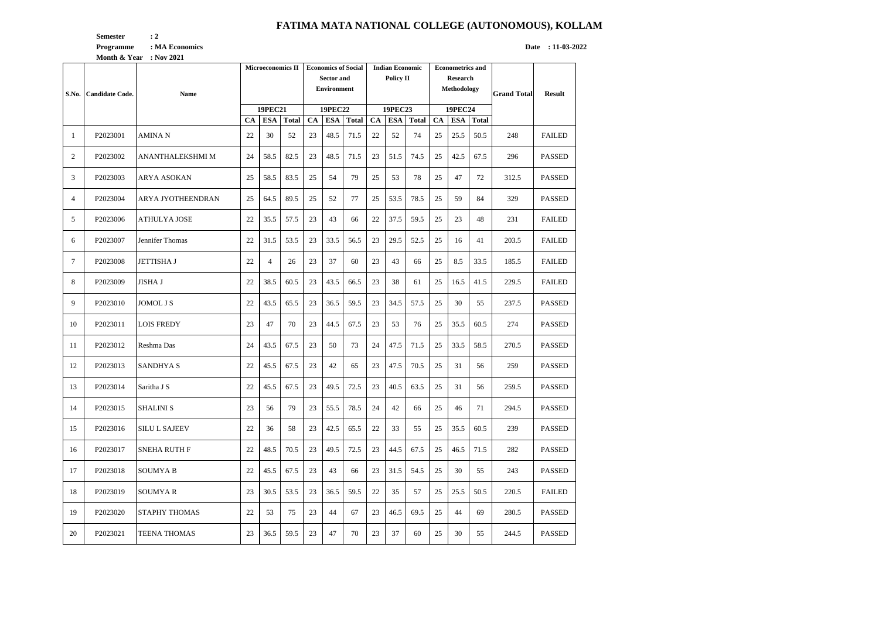## **FATIMA MATA NATIONAL COLLEGE (AUTONOMOUS), KOLLAM**

**Semester** : 2 **Programme** : MA Economics **Date** : 11-03-2022

|                | Month & Year : Nov 2021 |                      |                          |                |                |                            |            |                |                        |            |                |                         |      |             |                    |               |
|----------------|-------------------------|----------------------|--------------------------|----------------|----------------|----------------------------|------------|----------------|------------------------|------------|----------------|-------------------------|------|-------------|--------------------|---------------|
|                |                         |                      | <b>Microeconomics II</b> |                |                | <b>Economics of Social</b> |            |                | <b>Indian Economic</b> |            |                | <b>Econometrics and</b> |      |             |                    |               |
|                |                         |                      |                          |                |                | <b>Sector and</b>          |            |                | <b>Policy II</b>       |            |                | <b>Research</b>         |      |             |                    |               |
|                |                         | <b>Name</b>          |                          |                |                | <b>Environment</b>         |            |                |                        |            |                | Methodology             |      |             | <b>Grand Total</b> | <b>Result</b> |
| S.No.          | <b>Candidate Code.</b>  |                      |                          |                |                |                            |            |                |                        |            |                |                         |      |             |                    |               |
|                |                         |                      | <b>19PEC21</b>           |                | <b>19PEC22</b> |                            |            | <b>19PEC23</b> |                        |            | <b>19PEC24</b> |                         |      |             |                    |               |
|                |                         |                      | CA                       | <b>ESA</b>     | <b>Total</b>   | <b>CA</b>                  | <b>ESA</b> | <b>Total</b>   | <b>CA</b>              | <b>ESA</b> | <b>Total</b>   | CA                      |      | ESA   Total |                    |               |
| -1             | P2023001                | <b>AMINAN</b>        | 22                       | 30             | 52             | 23                         | 48.5       | 71.5           | 22                     | 52         | 74             | 25                      | 25.5 | 50.5        | 248                | <b>FAILED</b> |
| 2              | P2023002                | ANANTHALEKSHMI M     | 24                       | 58.5           | 82.5           | 23                         | 48.5       | 71.5           | 23                     | 51.5       | 74.5           | 25                      | 42.5 | 67.5        | 296                | <b>PASSED</b> |
| 3              | P2023003                | ARYA ASOKAN          | 25                       | 58.5           | 83.5           | 25                         | 54         | 79             | 25                     | 53         | 78             | 25                      | 47   | 72          | 312.5              | <b>PASSED</b> |
| $\overline{4}$ | P2023004                | ARYA JYOTHEENDRAN    | 25                       | 64.5           | 89.5           | 25                         | 52         | 77             | 25                     | 53.5       | 78.5           | 25                      | 59   | 84          | 329                | <b>PASSED</b> |
| 5              | P2023006                | <b>ATHULYA JOSE</b>  | 22                       | 35.5           | 57.5           | 23                         | 43         | 66             | 22                     | 37.5       | 59.5           | 25                      | 23   | 48          | 231                | <b>FAILED</b> |
| 6              | P2023007                | Jennifer Thomas      | 22                       | 31.5           | 53.5           | 23                         | 33.5       | 56.5           | 23                     | 29.5       | 52.5           | 25                      | 16   | 41          | 203.5              | <b>FAILED</b> |
| 7              | P2023008                | <b>JETTISHA J</b>    | 22                       | $\overline{4}$ | 26             | 23                         | 37         | 60             | 23                     | 43         | 66             | 25                      | 8.5  | 33.5        | 185.5              | <b>FAILED</b> |
| 8              | P2023009                | <b>JISHA J</b>       | 22                       | 38.5           | 60.5           | 23                         | 43.5       | 66.5           | 23                     | 38         | 61             | 25                      | 16.5 | 41.5        | 229.5              | <b>FAILED</b> |
| 9              | P2023010                | <b>JOMOL J S</b>     | 22                       | 43.5           | 65.5           | 23                         | 36.5       | 59.5           | 23                     | 34.5       | 57.5           | 25                      | 30   | 55          | 237.5              | <b>PASSED</b> |
| 10             | P2023011                | <b>LOIS FREDY</b>    | 23                       | 47             | 70             | 23                         | 44.5       | 67.5           | 23                     | 53         | 76             | 25                      | 35.5 | 60.5        | 274                | <b>PASSED</b> |
| 11             | P2023012                | Reshma Das           | 24                       | 43.5           | 67.5           | 23                         | 50         | 73             | 24                     | 47.5       | 71.5           | 25                      | 33.5 | 58.5        | 270.5              | <b>PASSED</b> |
| 12             | P2023013                | <b>SANDHYAS</b>      | 22                       | 45.5           | 67.5           | 23                         | 42         | 65             | 23                     | 47.5       | 70.5           | 25                      | 31   | 56          | 259                | <b>PASSED</b> |
| 13             | P2023014                | Saritha J S          | 22                       | 45.5           | 67.5           | 23                         | 49.5       | 72.5           | 23                     | 40.5       | 63.5           | 25                      | 31   | 56          | 259.5              | <b>PASSED</b> |
| 14             | P2023015                | <b>SHALINI S</b>     | 23                       | 56             | 79             | 23                         | 55.5       | 78.5           | 24                     | 42         | 66             | 25                      | 46   | 71          | 294.5              | <b>PASSED</b> |
| 15             | P2023016                | <b>SILU L SAJEEV</b> | 22                       | 36             | 58             | 23                         | 42.5       | 65.5           | 22                     | 33         | 55             | 25                      | 35.5 | 60.5        | 239                | <b>PASSED</b> |
| 16             | P2023017                | <b>SNEHA RUTH F</b>  | 22                       | 48.5           | 70.5           | 23                         | 49.5       | 72.5           | 23                     | 44.5       | 67.5           | 25                      | 46.5 | 71.5        | 282                | <b>PASSED</b> |
| 17             | P2023018                | <b>SOUMYAB</b>       | 22                       | 45.5           | 67.5           | 23                         | 43         | 66             | 23                     | 31.5       | 54.5           | 25                      | 30   | 55          | 243                | <b>PASSED</b> |
| 18             | P2023019                | <b>SOUMYAR</b>       | 23                       | 30.5           | 53.5           | 23                         | 36.5       | 59.5           | 22                     | 35         | 57             | 25                      | 25.5 | 50.5        | 220.5              | <b>FAILED</b> |
| 19             | P2023020                | STAPHY THOMAS        | 22                       | 53             | 75             | 23                         | 44         | 67             | 23                     | 46.5       | 69.5           | 25                      | 44   | 69          | 280.5              | <b>PASSED</b> |
| 20             | P2023021                | <b>TEENA THOMAS</b>  | 23                       | 36.5           | 59.5           | 23                         | 47         | 70             | 23                     | 37         | 60             | 25                      | 30   | 55          | 244.5              | <b>PASSED</b> |